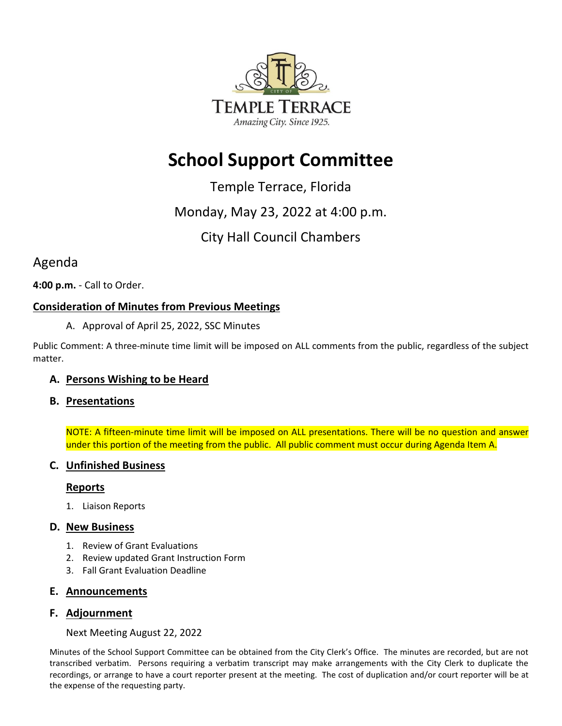

# **School Support Committee**

Temple Terrace, Florida

## Monday, May 23, 2022 at 4:00 p.m.

## City Hall Council Chambers

## Agenda

**4:00 p.m.** - Call to Order.

### **Consideration of Minutes from Previous Meetings**

A. Approval of April 25, 2022, SSC Minutes

Public Comment: A three-minute time limit will be imposed on ALL comments from the public, regardless of the subject matter.

#### **A. Persons Wishing to be Heard**

#### **B. Presentations**

NOTE: A fifteen-minute time limit will be imposed on ALL presentations. There will be no question and answer under this portion of the meeting from the public. All public comment must occur during Agenda Item A.

#### **C. Unfinished Business**

#### **Reports**

1. Liaison Reports

#### **D. New Business**

- 1. Review of Grant Evaluations
- 2. Review updated Grant Instruction Form
- 3. Fall Grant Evaluation Deadline

#### **E. Announcements**

#### **F. Adjournment**

Next Meeting August 22, 2022

Minutes of the School Support Committee can be obtained from the City Clerk's Office. The minutes are recorded, but are not transcribed verbatim. Persons requiring a verbatim transcript may make arrangements with the City Clerk to duplicate the recordings, or arrange to have a court reporter present at the meeting. The cost of duplication and/or court reporter will be at the expense of the requesting party.